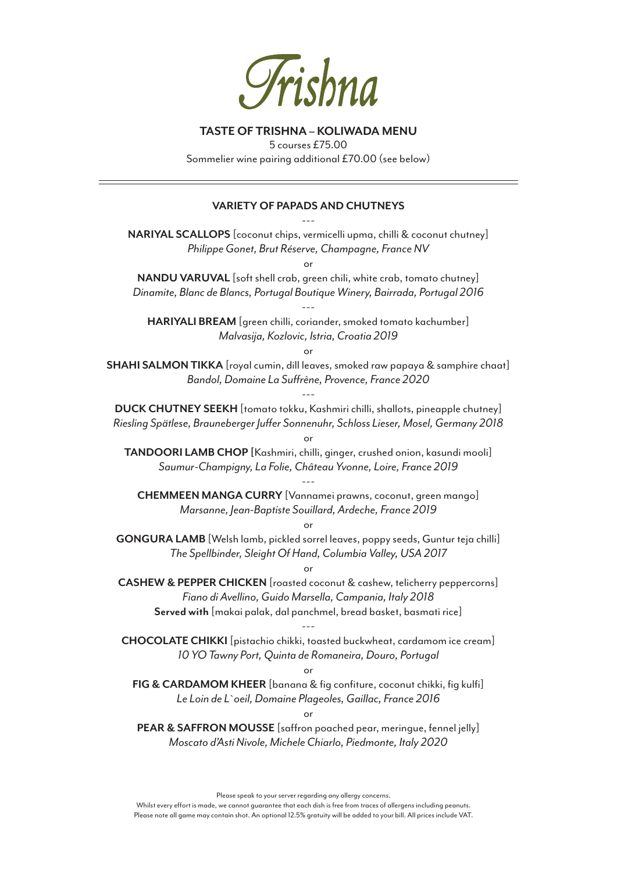

### **TASTE OF TRISHNA – KOLIWADA MENU**

5 courses £75.00

Sommelier wine pairing additional £70.00 (see below)

#### **VARIETY OF PAPADS AND CHUTNEYS**

--- **NARIYAL SCALLOPS** [coconut chips, vermicelli upma, chilli & coconut chutney] *Philippe Gonet, Brut Réserve, Champagne, France NV* or

**NANDU VARUVAL** [soft shell crab, green chili, white crab, tomato chutney] *Dinamite, Blanc de Blancs, Portugal Boutique Winery, Bairrada, Portugal 2016*

**HARIYALI BREAM** [green chilli, coriander, smoked tomato kachumber] *Malvasija, Kozlovic, Istria, Croatia 2019*

---

or

**SHAHI SALMON TIKKA** [royal cumin, dill leaves, smoked raw papaya & samphire chaat] *Bandol, Domaine La Suffrène, Provence, France 2020*

**DUCK CHUTNEY SEEKH** [tomato tokku, Kashmiri chilli, shallots, pineapple chutney] *Riesling Spätlese, Brauneberger Juffer Sonnenuhr, Schloss Lieser, Mosel, Germany 2018*

---

or

**TANDOORI LAMB CHOP [**Kashmiri, chilli, ginger, crushed onion, kasundi mooli] *Saumur-Champigny, La Folie, Château Yvonne, Loire, France 2019*

---

**CHEMMEEN MANGA CURRY** [Vannamei prawns, coconut, green mango] *Marsanne, Jean-Baptiste Souillard, Ardeche, France 2019*

or

**GONGURA LAMB** [Welsh lamb, pickled sorrel leaves, poppy seeds, Guntur teja chilli] *The Spellbinder, Sleight Of Hand, Columbia Valley, USA 2017*

or

**CASHEW & PEPPER CHICKEN** [roasted coconut & cashew, telicherry peppercorns] *Fiano di Avellino, Guido Marsella, Campania, Italy 2018* **Served with** [makai palak, dal panchmel, bread basket, basmati rice]

**CHOCOLATE CHIKKI** [pistachio chikki, toasted buckwheat, cardamom ice cream] *10 YO Tawny Port, Quinta de Romaneira, Douro, Portugal*

---

or

**FIG & CARDAMOM KHEER** [banana & fig confiture, coconut chikki, fig kulfi] *Le Loin de L`oeil, Domaine Plageoles, Gaillac, France 2016*

or

**PEAR & SAFFRON MOUSSE** [saffron poached pear, meringue, fennel jelly] *Moscato d'Asti Nivole, Michele Chiarlo, Piedmonte, Italy 2020*

Please speak to your server regarding any allergy concerns.

Whilst every effort is made, we cannot guarantee that each dish is free from traces of allergens including peanuts. Please note all game may contain shot. An optional 12.5% gratuity will be added to your bill. All prices include VAT.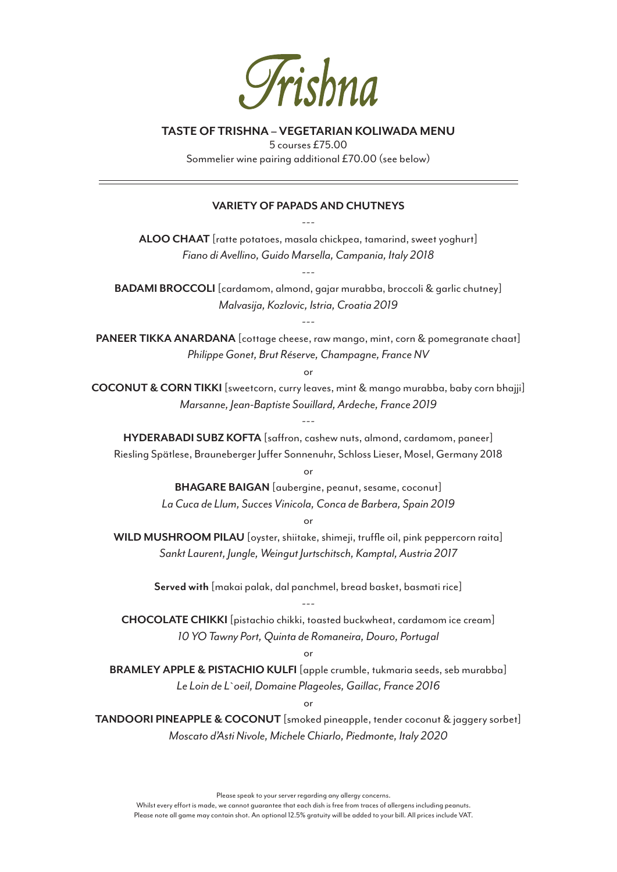

### **TASTE OF TRISHNA – VEGETARIAN KOLIWADA MENU**

5 courses £75.00 Sommelier wine pairing additional £70.00 (see below)

# **VARIETY OF PAPADS AND CHUTNEYS** ---

**ALOO CHAAT** [ratte potatoes, masala chickpea, tamarind, sweet yoghurt] *Fiano di Avellino, Guido Marsella, Campania, Italy 2018*

---

**BADAMI BROCCOLI** [cardamom, almond, gajar murabba, broccoli & garlic chutney] *Malvasija, Kozlovic, Istria, Croatia 2019*

**PANEER TIKKA ANARDANA** [cottage cheese, raw mango, mint, corn & pomegranate chaat] *Philippe Gonet, Brut Réserve, Champagne, France NV*

---

or

**COCONUT & CORN TIKKI** [sweetcorn, curry leaves, mint & mango murabba, baby corn bhajji] *Marsanne, Jean-Baptiste Souillard, Ardeche, France 2019*

---

**HYDERABADI SUBZ KOFTA** [saffron, cashew nuts, almond, cardamom, paneer] Riesling Spätlese, Brauneberger Juffer Sonnenuhr, Schloss Lieser, Mosel, Germany 2018

or

**BHAGARE BAIGAN** [aubergine, peanut, sesame, coconut] *La Cuca de Llum, Succes Vinicola, Conca de Barbera, Spain 2019*

or

**WILD MUSHROOM PILAU** [oyster, shiitake, shimeji, truffle oil, pink peppercorn raita] *Sankt Laurent, Jungle, Weingut Jurtschitsch, Kamptal, Austria 2017*

> **Served with** [makai palak, dal panchmel, bread basket, basmati rice] ---

**CHOCOLATE CHIKKI** [pistachio chikki, toasted buckwheat, cardamom ice cream] *10 YO Tawny Port, Quinta de Romaneira, Douro, Portugal*

#### or

**BRAMLEY APPLE & PISTACHIO KULFI** [apple crumble, tukmaria seeds, seb murabba] *Le Loin de L`oeil, Domaine Plageoles, Gaillac, France 2016*

or

**TANDOORI PINEAPPLE & COCONUT** [smoked pineapple, tender coconut & jaggery sorbet] *Moscato d'Asti Nivole, Michele Chiarlo, Piedmonte, Italy 2020*